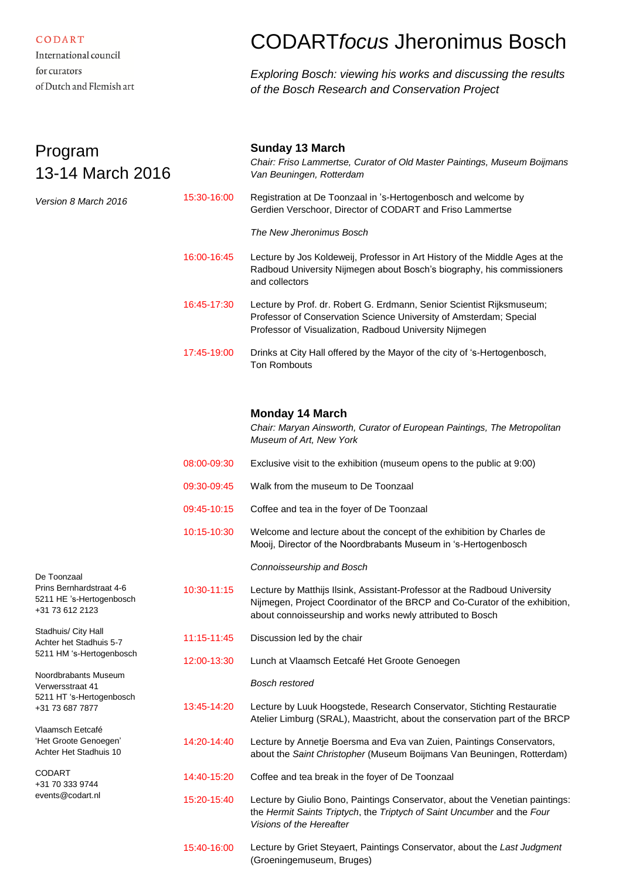CODART International council

for curators of Dutch and Flemish art

## CODART*focus* Jheronimus Bosch

*Exploring Bosch: viewing his works and discussing the results of the Bosch Research and Conservation Project*

| Program<br>13-14 March 2016                                                                                                                                           |             | <b>Sunday 13 March</b><br>Chair: Friso Lammertse, Curator of Old Master Paintings, Museum Boijmans<br>Van Beuningen, Rotterdam                                                                                        |
|-----------------------------------------------------------------------------------------------------------------------------------------------------------------------|-------------|-----------------------------------------------------------------------------------------------------------------------------------------------------------------------------------------------------------------------|
| Version 8 March 2016                                                                                                                                                  | 15:30-16:00 | Registration at De Toonzaal in 's-Hertogenbosch and welcome by<br>Gerdien Verschoor, Director of CODART and Friso Lammertse                                                                                           |
|                                                                                                                                                                       |             | The New Jheronimus Bosch                                                                                                                                                                                              |
|                                                                                                                                                                       | 16:00-16:45 | Lecture by Jos Koldeweij, Professor in Art History of the Middle Ages at the<br>Radboud University Nijmegen about Bosch's biography, his commissioners<br>and collectors                                              |
|                                                                                                                                                                       | 16:45-17:30 | Lecture by Prof. dr. Robert G. Erdmann, Senior Scientist Rijksmuseum;<br>Professor of Conservation Science University of Amsterdam; Special<br>Professor of Visualization, Radboud University Nijmegen                |
|                                                                                                                                                                       | 17:45-19:00 | Drinks at City Hall offered by the Mayor of the city of 's-Hertogenbosch,<br><b>Ton Rombouts</b>                                                                                                                      |
|                                                                                                                                                                       |             | <b>Monday 14 March</b><br>Chair: Maryan Ainsworth, Curator of European Paintings, The Metropolitan<br>Museum of Art, New York                                                                                         |
|                                                                                                                                                                       | 08:00-09:30 | Exclusive visit to the exhibition (museum opens to the public at 9:00)                                                                                                                                                |
|                                                                                                                                                                       | 09:30-09:45 | Walk from the museum to De Toonzaal                                                                                                                                                                                   |
|                                                                                                                                                                       | 09:45-10:15 | Coffee and tea in the foyer of De Toonzaal                                                                                                                                                                            |
|                                                                                                                                                                       | 10:15-10:30 | Welcome and lecture about the concept of the exhibition by Charles de<br>Mooij, Director of the Noordbrabants Museum in 's-Hertogenbosch                                                                              |
| De Toonzaal                                                                                                                                                           |             | Connoisseurship and Bosch                                                                                                                                                                                             |
| Prins Bernhardstraat 4-6<br>5211 HE 's-Hertogenbosch<br>+31 73 612 2123                                                                                               | 10:30-11:15 | Lecture by Matthijs Ilsink, Assistant-Professor at the Radboud University<br>Nijmegen, Project Coordinator of the BRCP and Co-Curator of the exhibition,<br>about connoisseurship and works newly attributed to Bosch |
| Stadhuis/ City Hall<br>Achter het Stadhuis 5-7<br>5211 HM 's-Hertogenbosch<br>Noordbrabants Museum<br>Verwersstraat 41<br>5211 HT 's-Hertogenbosch<br>+31 73 687 7877 | 11:15-11:45 | Discussion led by the chair                                                                                                                                                                                           |
|                                                                                                                                                                       | 12:00-13:30 | Lunch at Vlaamsch Eetcafé Het Groote Genoegen                                                                                                                                                                         |
|                                                                                                                                                                       |             | <b>Bosch restored</b>                                                                                                                                                                                                 |
|                                                                                                                                                                       | 13:45-14:20 | Lecture by Luuk Hoogstede, Research Conservator, Stichting Restauratie<br>Atelier Limburg (SRAL), Maastricht, about the conservation part of the BRCP                                                                 |
| Vlaamsch Eetcafé<br>'Het Groote Genoegen'<br>Achter Het Stadhuis 10                                                                                                   | 14:20-14:40 | Lecture by Annetje Boersma and Eva van Zuien, Paintings Conservators,<br>about the Saint Christopher (Museum Boijmans Van Beuningen, Rotterdam)                                                                       |
| <b>CODART</b><br>+31 70 333 9744<br>events@codart.nl                                                                                                                  | 14:40-15:20 | Coffee and tea break in the foyer of De Toonzaal                                                                                                                                                                      |
|                                                                                                                                                                       | 15:20-15:40 | Lecture by Giulio Bono, Paintings Conservator, about the Venetian paintings:<br>the Hermit Saints Triptych, the Triptych of Saint Uncumber and the Four<br>Visions of the Hereafter                                   |
|                                                                                                                                                                       | 15:40-16:00 | Lecture by Griet Steyaert, Paintings Conservator, about the Last Judgment                                                                                                                                             |

(Groeningemuseum, Bruges)